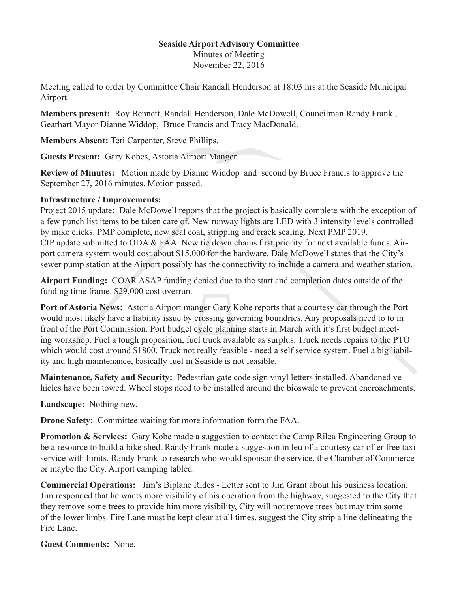## **Seaside Airport Advisory Committee**

Minutes of Meeting November 22, 2016

Meeting called to order by Committee Chair Randall Henderson at 18:03 hrs at the Seaside Municipal Airport.

**Members present:** Roy Bennett, Randall Henderson, Dale McDowell, Councilman Randy Frank , Gearhart Mayor Dianne Widdop, Bruce Francis and Tracy MacDonald.

**Members Absent:** Teri Carpenter, Steve Phillips.

**Guests Present:** Gary Kobes, Astoria Airport Manger.

**Review of Minutes:** Motion made by Dianne Widdop and second by Bruce Francis to approve the September 27, 2016 minutes. Motion passed.

## **Infrastructure / Improvements:**

Project 2015 update: Dale McDowell reports that the project is basically complete with the exception of a few punch list items to be taken care of. New runway lights are LED with 3 intensity levels controlled by mike clicks. PMP complete, new seal coat, stripping and crack sealing. Next PMP 2019. CIP update submitted to ODA & FAA. New tie down chains first priority for next available funds. Airport camera system would cost about \$15,000 for the hardware. Dale McDowell states that the City's sewer pump station at the Airport possibly has the connectivity to include a camera and weather station.

**Airport Funding:** COAR ASAP funding denied due to the start and completion dates outside of the funding time frame. \$29,000 cost overrun.

**Port of Astoria News:** Astoria Airport manger Gary Kobe reports that a courtesy car through the Port would most likely have a liability issue by crossing governing boundries. Any proposals need to to in front of the Port Commission. Port budget cycle planning starts in March with it's first budget meeting workshop. Fuel a tough proposition, fuel truck available as surplus. Truck needs repairs to the PTO which would cost around \$1800. Truck not really feasible - need a self service system. Fuel a big liability and high maintenance, basically fuel in Seaside is not feasible.

**Maintenance, Safety and Security:** Pedestrian gate code sign vinyl letters installed. Abandoned vehicles have been towed. Wheel stops need to be installed around the bioswale to prevent encroachments.

**Landscape:** Nothing new.

**Drone Safety:** Committee waiting for more information form the FAA.

**Promotion & Services:** Gary Kobe made a suggestion to contact the Camp Rilea Engineering Group to be a resource to build a bike shed. Randy Frank made a suggestion in leu of a courtesy car offer free taxi service with limits. Randy Frank to research who would sponsor the service, the Chamber of Commerce or maybe the City. Airport camping tabled.

**Commercial Operations:** Jim's Biplane Rides - Letter sent to Jim Grant about his business location. Jim responded that he wants more visibility of his operation from the highway, suggested to the City that they remove some trees to provide him more visibility, City will not remove trees but may trim some of the lower limbs. Fire Lane must be kept clear at all times, suggest the City strip a line delineating the Fire Lane.

**Guest Comments:** None.